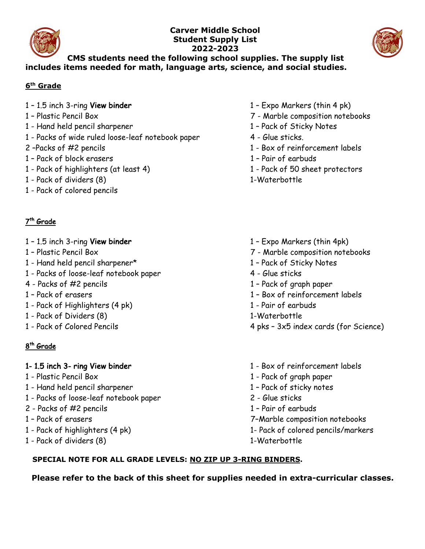

#### **Carver Middle School Student Supply List 2022-2023**



#### **CMS students need the following school supplies. The supply list includes items needed for math, language arts, science, and social studies.**

#### **6th Grade**

- 1 1.5 inch 3-ring View binder 1 Expo Markers (thin 4 pk)
- 
- 1 Hand held pencil sharpener 1 Pack of Sticky Notes
- 1 Packs of wide ruled loose-leaf notebook paper 4 Glue sticks.
- 
- 1 Pack of block erasers 1 Pair of earbuds
- 1 Pack of highlighters (at least 4) 1 Pack of 50 sheet protectors
- 1 Pack of dividers (8) 1-Waterbottle
- 1 Pack of colored pencils

# 7th Grade

- 1 1.5 inch 3-ring View binder 1 1.5 inch 3-ring View binder 1 Expo Markers (thin 4pk)
- 
- 1 Hand held pencil sharpener\* 1 Pack of Sticky Notes
- 1 Packs of loose-leaf notebook paper 4 Glue sticks
- 
- 
- 1 Pack of Highlighters (4 pk) 1 Pair of earbuds
- 1 Pack of Dividers (8) 1-Waterbottle
- 

# 8th Grade

- 
- 1 Hand held pencil sharpener 1 Pack of sticky notes
- 1 Packs of loose-leaf notebook paper 2 Glue sticks
- 2 Packs of #2 pencils 1 Pair of earbuds
- 
- 
- 1 Pack of dividers (8) 1-Waterbottle
- 
- 1 Plastic Pencil Box 7 Marble composition notebooks
	-
	-
- 2 –Packs of #2 pencils 1 Box of reinforcement labels
	-
	-
	-
	-
- 1 Plastic Pencil Box 7 Marble composition notebooks
	-
	-
- 4 Packs of #2 pencils 1 Pack of graph paper
- 1 Pack of erasers 1 Box of reinforcement labels
	-
	-
- 1 Pack of Colored Pencils 4 pks 3x5 index cards (for Science)
- 1- 1.5 inch 3- ring View binder 1 Box of reinforcement labels
- 1 Plastic Pencil Box 1 Pack of graph paper
	-
	-
	-
- 1 Pack of erasers 7–Marble composition notebooks
- 1 Pack of highlighters (4 pk) 1- Pack of colored pencils/markers

# **SPECIAL NOTE FOR ALL GRADE LEVELS: NO ZIP UP 3-RING BINDERS.**

**Please refer to the back of this sheet for supplies needed in extra-curricular classes.**

- 
- 
- 
- 
- 
-